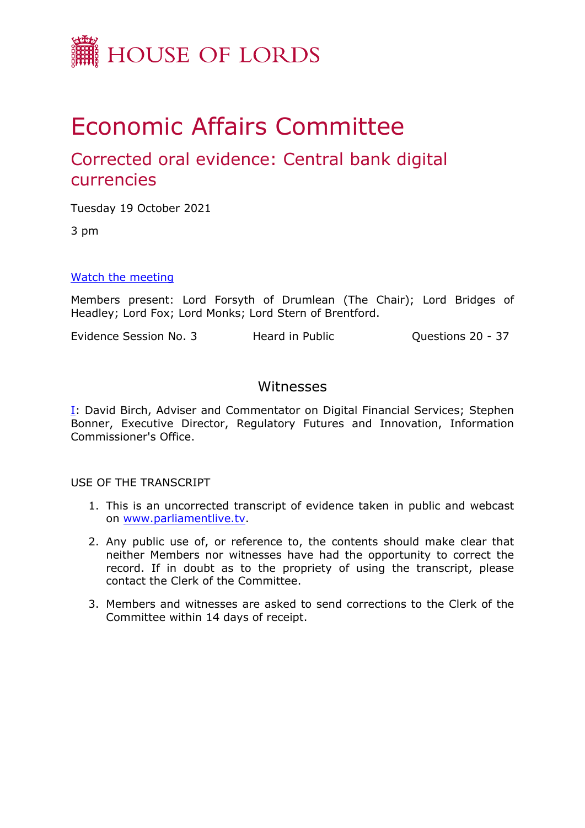

# Economic Affairs Committee

## Corrected oral evidence: Central bank digital currencies

Tuesday 19 October 2021

3 pm

## [Watch](https://parliamentlive.tv/Event/Index/d55dc1fb-c8ce-4bfb-b33d-ed4cd564f8fb) [the](https://parliamentlive.tv/Event/Index/d55dc1fb-c8ce-4bfb-b33d-ed4cd564f8fb) [meeting](https://parliamentlive.tv/Event/Index/d55dc1fb-c8ce-4bfb-b33d-ed4cd564f8fb)

Members present: Lord Forsyth of Drumlean (The Chair); Lord Bridges of Headley; Lord Fox; Lord Monks; Lord Stern of Brentford.

Evidence Session No. 3 Heard in Public Cuestions 20 - 37

## Witnesses

[I:](#page-1-0) David Birch, Adviser and Commentator on Digital Financial Services; Stephen Bonner, Executive Director, Regulatory Futures and Innovation, Information Commissioner's Office.

USE OF THE TRANSCRIPT

- 1. This is an uncorrected transcript of evidence taken in public and webcast on [www.parliamentlive.tv.](http://www.parliamentlive.tv/)
- 2. Any public use of, or reference to, the contents should make clear that neither Members nor witnesses have had the opportunity to correct the record. If in doubt as to the propriety of using the transcript, please contact the Clerk of the Committee.
- 3. Members and witnesses are asked to send corrections to the Clerk of the Committee within 14 days of receipt.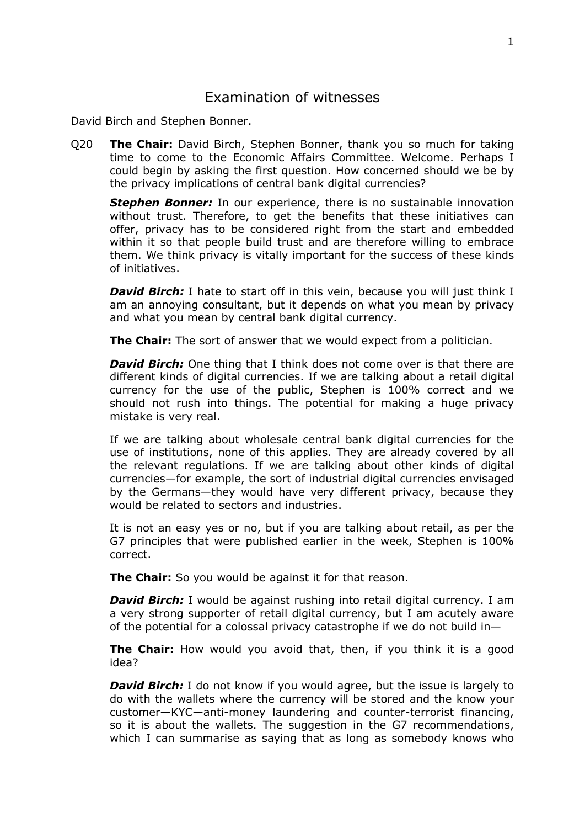## <span id="page-1-0"></span>Examination of witnesses

David Birch and Stephen Bonner.

Q20 **The Chair:** David Birch, Stephen Bonner, thank you so much for taking time to come to the Economic Affairs Committee. Welcome. Perhaps I could begin by asking the first question. How concerned should we be by the privacy implications of central bank digital currencies?

*Stephen Bonner:* In our experience, there is no sustainable innovation without trust. Therefore, to get the benefits that these initiatives can offer, privacy has to be considered right from the start and embedded within it so that people build trust and are therefore willing to embrace them. We think privacy is vitally important for the success of these kinds of initiatives.

*David Birch:* I hate to start off in this vein, because you will just think I am an annoying consultant, but it depends on what you mean by privacy and what you mean by central bank digital currency.

**The Chair:** The sort of answer that we would expect from a politician.

*David Birch:* One thing that I think does not come over is that there are different kinds of digital currencies. If we are talking about a retail digital currency for the use of the public, Stephen is 100% correct and we should not rush into things. The potential for making a huge privacy mistake is very real.

If we are talking about wholesale central bank digital currencies for the use of institutions, none of this applies. They are already covered by all the relevant regulations. If we are talking about other kinds of digital currencies—for example, the sort of industrial digital currencies envisaged by the Germans—they would have very different privacy, because they would be related to sectors and industries.

It is not an easy yes or no, but if you are talking about retail, as per the G7 principles that were published earlier in the week, Stephen is 100% correct.

**The Chair:** So you would be against it for that reason.

*David Birch:* I would be against rushing into retail digital currency. I am a very strong supporter of retail digital currency, but I am acutely aware of the potential for a colossal privacy catastrophe if we do not build in—

**The Chair:** How would you avoid that, then, if you think it is a good idea?

*David Birch:* I do not know if you would agree, but the issue is largely to do with the wallets where the currency will be stored and the know your customer—KYC—anti-money laundering and counter-terrorist financing, so it is about the wallets. The suggestion in the G7 recommendations, which I can summarise as saying that as long as somebody knows who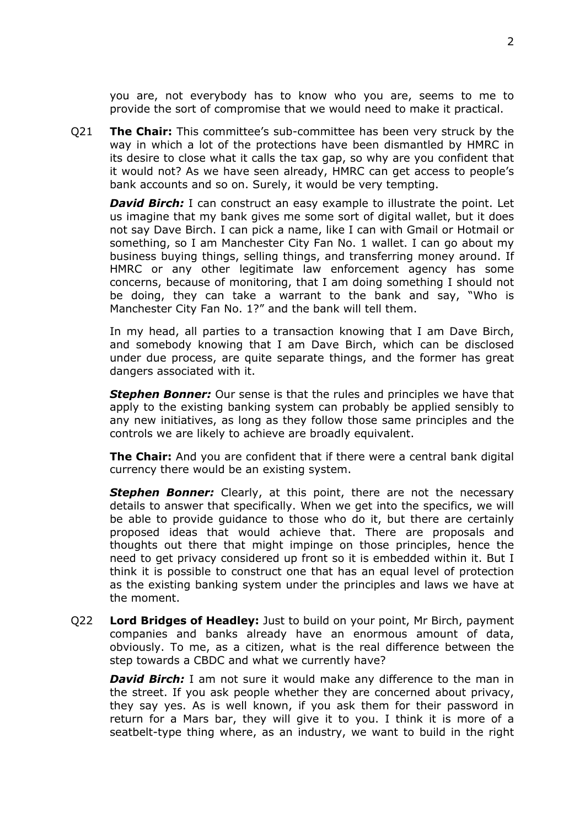you are, not everybody has to know who you are, seems to me to provide the sort of compromise that we would need to make it practical.

Q21 **The Chair:** This committee's sub-committee has been very struck by the way in which a lot of the protections have been dismantled by HMRC in its desire to close what it calls the tax gap, so why are you confident that it would not? As we have seen already, HMRC can get access to people's bank accounts and so on. Surely, it would be very tempting.

*David Birch:* I can construct an easy example to illustrate the point. Let us imagine that my bank gives me some sort of digital wallet, but it does not say Dave Birch. I can pick a name, like I can with Gmail or Hotmail or something, so I am Manchester City Fan No. 1 wallet. I can go about my business buying things, selling things, and transferring money around. If HMRC or any other legitimate law enforcement agency has some concerns, because of monitoring, that I am doing something I should not be doing, they can take a warrant to the bank and say, "Who is Manchester City Fan No. 1?" and the bank will tell them.

In my head, all parties to a transaction knowing that I am Dave Birch, and somebody knowing that I am Dave Birch, which can be disclosed under due process, are quite separate things, and the former has great dangers associated with it.

*Stephen Bonner:* Our sense is that the rules and principles we have that apply to the existing banking system can probably be applied sensibly to any new initiatives, as long as they follow those same principles and the controls we are likely to achieve are broadly equivalent.

**The Chair:** And you are confident that if there were a central bank digital currency there would be an existing system.

**Stephen Bonner:** Clearly, at this point, there are not the necessary details to answer that specifically. When we get into the specifics, we will be able to provide guidance to those who do it, but there are certainly proposed ideas that would achieve that. There are proposals and thoughts out there that might impinge on those principles, hence the need to get privacy considered up front so it is embedded within it. But I think it is possible to construct one that has an equal level of protection as the existing banking system under the principles and laws we have at the moment.

Q22 **Lord Bridges of Headley:** Just to build on your point, Mr Birch, payment companies and banks already have an enormous amount of data, obviously. To me, as a citizen, what is the real difference between the step towards a CBDC and what we currently have?

*David Birch:* I am not sure it would make any difference to the man in the street. If you ask people whether they are concerned about privacy, they say yes. As is well known, if you ask them for their password in return for a Mars bar, they will give it to you. I think it is more of a seatbelt-type thing where, as an industry, we want to build in the right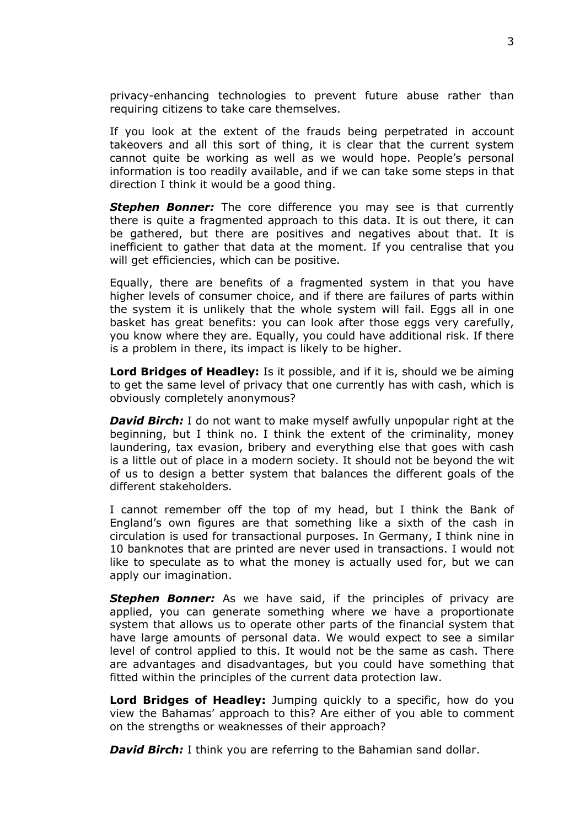privacy-enhancing technologies to prevent future abuse rather than requiring citizens to take care themselves.

If you look at the extent of the frauds being perpetrated in account takeovers and all this sort of thing, it is clear that the current system cannot quite be working as well as we would hope. People's personal information is too readily available, and if we can take some steps in that direction I think it would be a good thing.

**Stephen Bonner:** The core difference you may see is that currently there is quite a fragmented approach to this data. It is out there, it can be gathered, but there are positives and negatives about that. It is inefficient to gather that data at the moment. If you centralise that you will get efficiencies, which can be positive.

Equally, there are benefits of a fragmented system in that you have higher levels of consumer choice, and if there are failures of parts within the system it is unlikely that the whole system will fail. Eggs all in one basket has great benefits: you can look after those eggs very carefully, you know where they are. Equally, you could have additional risk. If there is a problem in there, its impact is likely to be higher.

**Lord Bridges of Headley:** Is it possible, and if it is, should we be aiming to get the same level of privacy that one currently has with cash, which is obviously completely anonymous?

*David Birch:* I do not want to make myself awfully unpopular right at the beginning, but I think no. I think the extent of the criminality, money laundering, tax evasion, bribery and everything else that goes with cash is a little out of place in a modern society. It should not be beyond the wit of us to design a better system that balances the different goals of the different stakeholders.

I cannot remember off the top of my head, but I think the Bank of England's own figures are that something like a sixth of the cash in circulation is used for transactional purposes. In Germany, I think nine in 10 banknotes that are printed are never used in transactions. I would not like to speculate as to what the money is actually used for, but we can apply our imagination.

*Stephen Bonner:* As we have said, if the principles of privacy are applied, you can generate something where we have a proportionate system that allows us to operate other parts of the financial system that have large amounts of personal data. We would expect to see a similar level of control applied to this. It would not be the same as cash. There are advantages and disadvantages, but you could have something that fitted within the principles of the current data protection law.

**Lord Bridges of Headley:** Jumping quickly to a specific, how do you view the Bahamas' approach to this? Are either of you able to comment on the strengths or weaknesses of their approach?

*David Birch:* I think you are referring to the Bahamian sand dollar.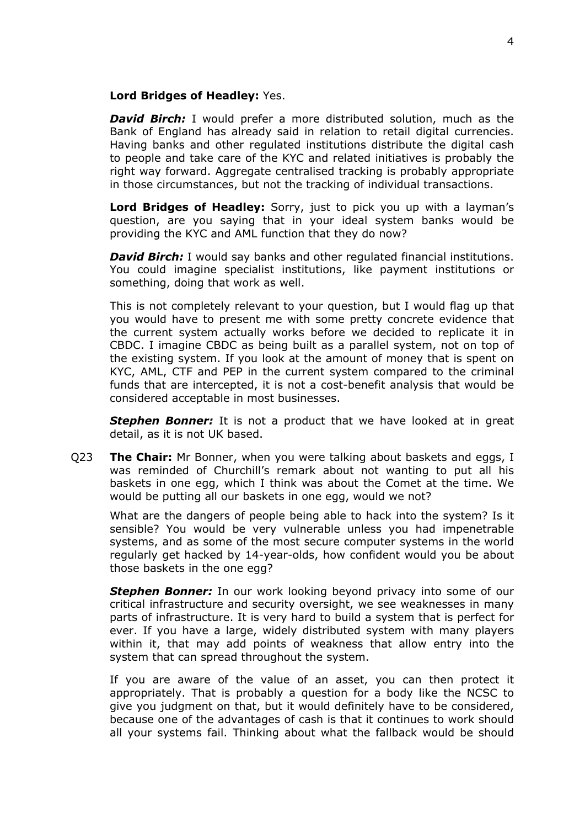### **Lord Bridges of Headley:** Yes.

*David Birch:* I would prefer a more distributed solution, much as the Bank of England has already said in relation to retail digital currencies. Having banks and other regulated institutions distribute the digital cash to people and take care of the KYC and related initiatives is probably the right way forward. Aggregate centralised tracking is probably appropriate in those circumstances, but not the tracking of individual transactions.

**Lord Bridges of Headley:** Sorry, just to pick you up with a layman's question, are you saying that in your ideal system banks would be providing the KYC and AML function that they do now?

*David Birch:* I would say banks and other regulated financial institutions. You could imagine specialist institutions, like payment institutions or something, doing that work as well.

This is not completely relevant to your question, but I would flag up that you would have to present me with some pretty concrete evidence that the current system actually works before we decided to replicate it in CBDC. I imagine CBDC as being built as a parallel system, not on top of the existing system. If you look at the amount of money that is spent on KYC, AML, CTF and PEP in the current system compared to the criminal funds that are intercepted, it is not a cost-benefit analysis that would be considered acceptable in most businesses.

**Stephen Bonner:** It is not a product that we have looked at in great detail, as it is not UK based.

Q23 **The Chair:** Mr Bonner, when you were talking about baskets and eggs, I was reminded of Churchill's remark about not wanting to put all his baskets in one egg, which I think was about the Comet at the time. We would be putting all our baskets in one egg, would we not?

What are the dangers of people being able to hack into the system? Is it sensible? You would be very vulnerable unless you had impenetrable systems, and as some of the most secure computer systems in the world regularly get hacked by 14-year-olds, how confident would you be about those baskets in the one egg?

*Stephen Bonner:* In our work looking beyond privacy into some of our critical infrastructure and security oversight, we see weaknesses in many parts of infrastructure. It is very hard to build a system that is perfect for ever. If you have a large, widely distributed system with many players within it, that may add points of weakness that allow entry into the system that can spread throughout the system.

If you are aware of the value of an asset, you can then protect it appropriately. That is probably a question for a body like the NCSC to give you judgment on that, but it would definitely have to be considered, because one of the advantages of cash is that it continues to work should all your systems fail. Thinking about what the fallback would be should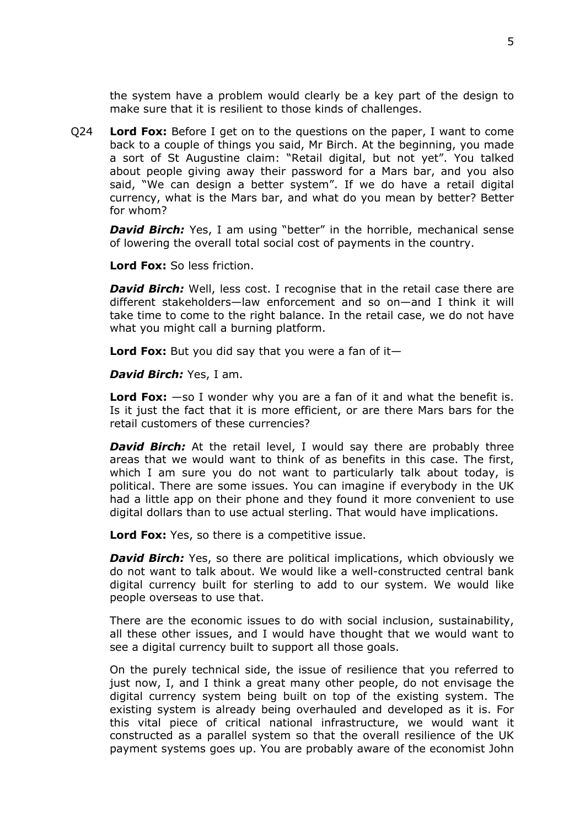the system have a problem would clearly be a key part of the design to make sure that it is resilient to those kinds of challenges.

Q24 **Lord Fox:** Before I get on to the questions on the paper, I want to come back to a couple of things you said, Mr Birch. At the beginning, you made a sort of St Augustine claim: "Retail digital, but not yet". You talked about people giving away their password for a Mars bar, and you also said, "We can design a better system". If we do have a retail digital currency, what is the Mars bar, and what do you mean by better? Better for whom?

*David Birch:* Yes, I am using "better" in the horrible, mechanical sense of lowering the overall total social cost of payments in the country.

**Lord Fox:** So less friction.

*David Birch:* Well, less cost. I recognise that in the retail case there are different stakeholders—law enforcement and so on—and I think it will take time to come to the right balance. In the retail case, we do not have what you might call a burning platform.

**Lord Fox:** But you did say that you were a fan of it—

*David Birch:* Yes, I am.

**Lord Fox:** —so I wonder why you are a fan of it and what the benefit is. Is it just the fact that it is more efficient, or are there Mars bars for the retail customers of these currencies?

*David Birch:* At the retail level, I would say there are probably three areas that we would want to think of as benefits in this case. The first, which I am sure you do not want to particularly talk about today, is political. There are some issues. You can imagine if everybody in the UK had a little app on their phone and they found it more convenient to use digital dollars than to use actual sterling. That would have implications.

**Lord Fox:** Yes, so there is a competitive issue.

*David Birch:* Yes, so there are political implications, which obviously we do not want to talk about. We would like a well-constructed central bank digital currency built for sterling to add to our system. We would like people overseas to use that.

There are the economic issues to do with social inclusion, sustainability, all these other issues, and I would have thought that we would want to see a digital currency built to support all those goals.

On the purely technical side, the issue of resilience that you referred to just now, I, and I think a great many other people, do not envisage the digital currency system being built on top of the existing system. The existing system is already being overhauled and developed as it is. For this vital piece of critical national infrastructure, we would want it constructed as a parallel system so that the overall resilience of the UK payment systems goes up. You are probably aware of the economist John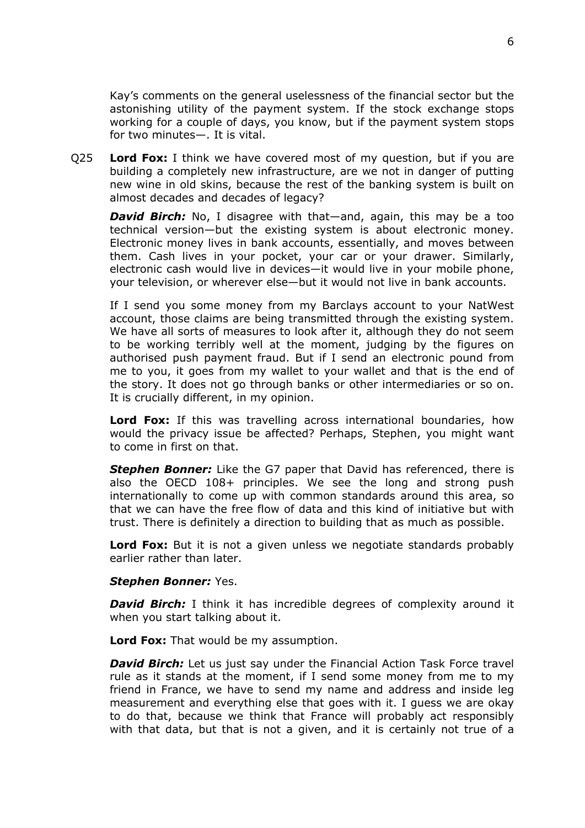Kay's comments on the general uselessness of the financial sector but the astonishing utility of the payment system. If the stock exchange stops working for a couple of days, you know, but if the payment system stops for two minutes—. It is vital.

Q25 **Lord Fox:** I think we have covered most of my question, but if you are building a completely new infrastructure, are we not in danger of putting new wine in old skins, because the rest of the banking system is built on almost decades and decades of legacy?

*David Birch:* No, I disagree with that—and, again, this may be a too technical version—but the existing system is about electronic money. Electronic money lives in bank accounts, essentially, and moves between them. Cash lives in your pocket, your car or your drawer. Similarly, electronic cash would live in devices—it would live in your mobile phone, your television, or wherever else—but it would not live in bank accounts.

If I send you some money from my Barclays account to your NatWest account, those claims are being transmitted through the existing system. We have all sorts of measures to look after it, although they do not seem to be working terribly well at the moment, judging by the figures on authorised push payment fraud. But if I send an electronic pound from me to you, it goes from my wallet to your wallet and that is the end of the story. It does not go through banks or other intermediaries or so on. It is crucially different, in my opinion.

**Lord Fox:** If this was travelling across international boundaries, how would the privacy issue be affected? Perhaps, Stephen, you might want to come in first on that.

*Stephen Bonner:* Like the G7 paper that David has referenced, there is also the OECD 108+ principles. We see the long and strong push internationally to come up with common standards around this area, so that we can have the free flow of data and this kind of initiative but with trust. There is definitely a direction to building that as much as possible.

**Lord Fox:** But it is not a given unless we negotiate standards probably earlier rather than later.

## *Stephen Bonner:* Yes.

*David Birch:* I think it has incredible degrees of complexity around it when you start talking about it.

**Lord Fox:** That would be my assumption.

*David Birch:* Let us just say under the Financial Action Task Force travel rule as it stands at the moment, if I send some money from me to my friend in France, we have to send my name and address and inside leg measurement and everything else that goes with it. I guess we are okay to do that, because we think that France will probably act responsibly with that data, but that is not a given, and it is certainly not true of a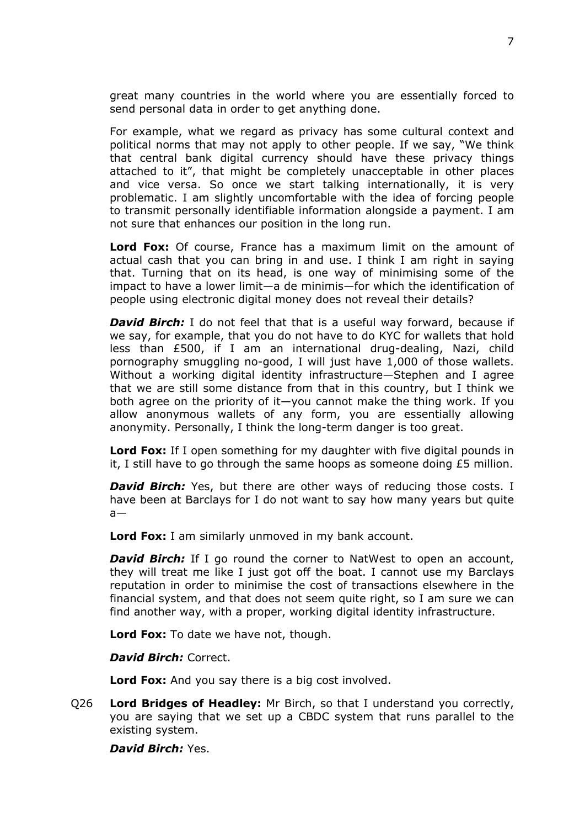great many countries in the world where you are essentially forced to send personal data in order to get anything done.

For example, what we regard as privacy has some cultural context and political norms that may not apply to other people. If we say, "We think that central bank digital currency should have these privacy things attached to it", that might be completely unacceptable in other places and vice versa. So once we start talking internationally, it is very problematic. I am slightly uncomfortable with the idea of forcing people to transmit personally identifiable information alongside a payment. I am not sure that enhances our position in the long run.

**Lord Fox:** Of course, France has a maximum limit on the amount of actual cash that you can bring in and use. I think I am right in saying that. Turning that on its head, is one way of minimising some of the impact to have a lower limit—a de minimis—for which the identification of people using electronic digital money does not reveal their details?

*David Birch:* I do not feel that that is a useful way forward, because if we say, for example, that you do not have to do KYC for wallets that hold less than £500, if I am an international drug-dealing, Nazi, child pornography smuggling no-good, I will just have 1,000 of those wallets. Without a working digital identity infrastructure—Stephen and I agree that we are still some distance from that in this country, but I think we both agree on the priority of it—you cannot make the thing work. If you allow anonymous wallets of any form, you are essentially allowing anonymity. Personally, I think the long-term danger is too great.

**Lord Fox:** If I open something for my daughter with five digital pounds in it. I still have to go through the same hoops as someone doing  $E_5$  million.

*David Birch:* Yes, but there are other ways of reducing those costs. I have been at Barclays for I do not want to say how many years but quite  $a$ —

**Lord Fox:** I am similarly unmoved in my bank account.

*David Birch:* If I go round the corner to NatWest to open an account, they will treat me like I just got off the boat. I cannot use my Barclays reputation in order to minimise the cost of transactions elsewhere in the financial system, and that does not seem quite right, so I am sure we can find another way, with a proper, working digital identity infrastructure.

**Lord Fox:** To date we have not, though.

*David Birch:* Correct.

**Lord Fox:** And you say there is a big cost involved.

Q26 **Lord Bridges of Headley:** Mr Birch, so that I understand you correctly, you are saying that we set up a CBDC system that runs parallel to the existing system.

*David Birch:* Yes.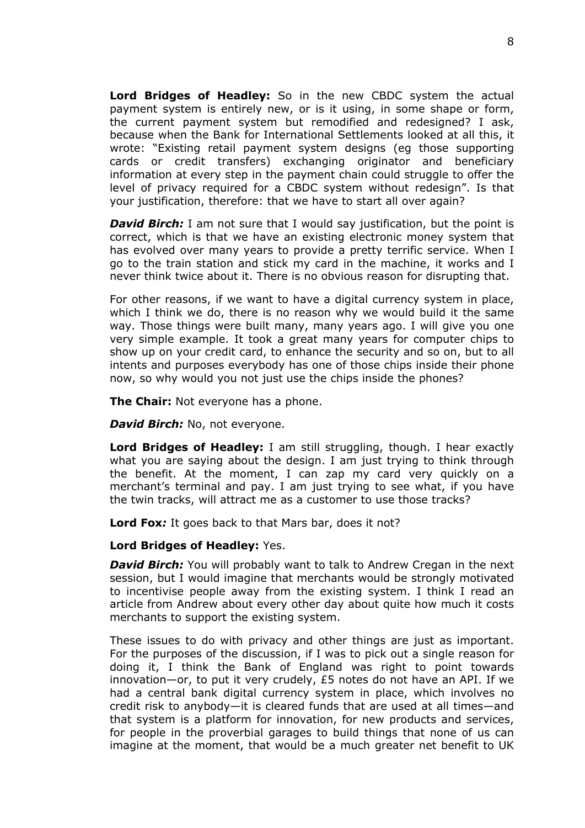**Lord Bridges of Headley:** So in the new CBDC system the actual payment system is entirely new, or is it using, in some shape or form, the current payment system but remodified and redesigned? I ask, because when the Bank for International Settlements looked at all this, it wrote: "Existing retail payment system designs (eg those supporting cards or credit transfers) exchanging originator and beneficiary information at every step in the payment chain could struggle to offer the level of privacy required for a CBDC system without redesign". Is that your justification, therefore: that we have to start all over again?

**David Birch:** I am not sure that I would say justification, but the point is correct, which is that we have an existing electronic money system that has evolved over many years to provide a pretty terrific service. When I go to the train station and stick my card in the machine, it works and I never think twice about it. There is no obvious reason for disrupting that.

For other reasons, if we want to have a digital currency system in place, which I think we do, there is no reason why we would build it the same way. Those things were built many, many years ago. I will give you one very simple example. It took a great many years for computer chips to show up on your credit card, to enhance the security and so on, but to all intents and purposes everybody has one of those chips inside their phone now, so why would you not just use the chips inside the phones?

**The Chair:** Not everyone has a phone.

*David Birch: No, not everyone.* 

**Lord Bridges of Headley:** I am still struggling, though. I hear exactly what you are saying about the design. I am just trying to think through the benefit. At the moment, I can zap my card very quickly on a merchant's terminal and pay. I am just trying to see what, if you have the twin tracks, will attract me as a customer to use those tracks?

**Lord Fox***:* It goes back to that Mars bar, does it not?

#### **Lord Bridges of Headley:** Yes.

*David Birch:* You will probably want to talk to Andrew Cregan in the next session, but I would imagine that merchants would be strongly motivated to incentivise people away from the existing system. I think I read an article from Andrew about every other day about quite how much it costs merchants to support the existing system.

These issues to do with privacy and other things are just as important. For the purposes of the discussion, if I was to pick out a single reason for doing it, I think the Bank of England was right to point towards innovation—or, to put it very crudely, £5 notes do not have an API. If we had a central bank digital currency system in place, which involves no credit risk to anybody—it is cleared funds that are used at all times—and that system is a platform for innovation, for new products and services, for people in the proverbial garages to build things that none of us can imagine at the moment, that would be a much greater net benefit to UK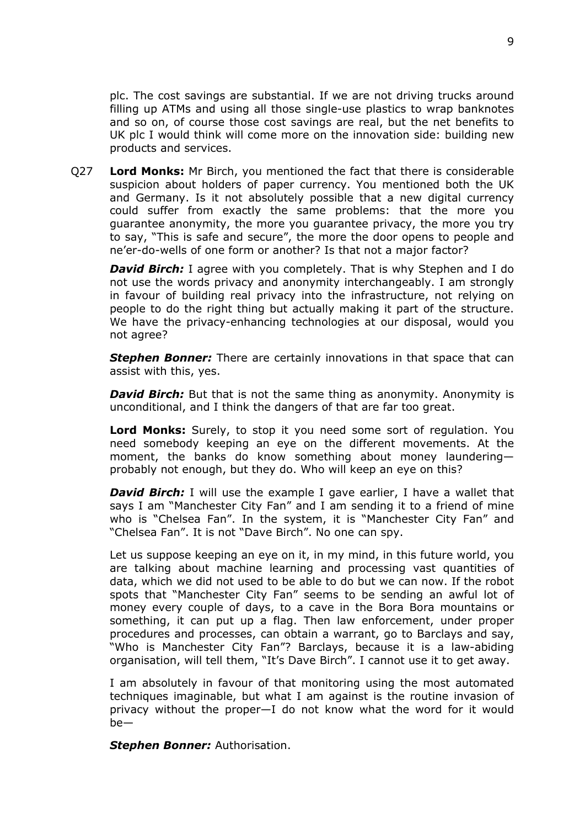plc. The cost savings are substantial. If we are not driving trucks around filling up ATMs and using all those single-use plastics to wrap banknotes and so on, of course those cost savings are real, but the net benefits to UK plc I would think will come more on the innovation side: building new products and services.

Q27 **Lord Monks:** Mr Birch, you mentioned the fact that there is considerable suspicion about holders of paper currency. You mentioned both the UK and Germany. Is it not absolutely possible that a new digital currency could suffer from exactly the same problems: that the more you guarantee anonymity, the more you guarantee privacy, the more you try to say, "This is safe and secure", the more the door opens to people and ne'er-do-wells of one form or another? Is that not a major factor?

*David Birch:* I agree with you completely. That is why Stephen and I do not use the words privacy and anonymity interchangeably. I am strongly in favour of building real privacy into the infrastructure, not relying on people to do the right thing but actually making it part of the structure. We have the privacy-enhancing technologies at our disposal, would you not agree?

*Stephen Bonner:* There are certainly innovations in that space that can assist with this, yes.

*David Birch:* But that is not the same thing as anonymity. Anonymity is unconditional, and I think the dangers of that are far too great.

**Lord Monks:** Surely, to stop it you need some sort of regulation. You need somebody keeping an eye on the different movements. At the moment, the banks do know something about money laundering probably not enough, but they do. Who will keep an eye on this?

**David Birch:** I will use the example I gave earlier, I have a wallet that says I am "Manchester City Fan" and I am sending it to a friend of mine who is "Chelsea Fan". In the system, it is "Manchester City Fan" and "Chelsea Fan". It is not "Dave Birch". No one can spy.

Let us suppose keeping an eye on it, in my mind, in this future world, you are talking about machine learning and processing vast quantities of data, which we did not used to be able to do but we can now. If the robot spots that "Manchester City Fan" seems to be sending an awful lot of money every couple of days, to a cave in the Bora Bora mountains or something, it can put up a flag. Then law enforcement, under proper procedures and processes, can obtain a warrant, go to Barclays and say, "Who is Manchester City Fan"? Barclays, because it is a law-abiding organisation, will tell them, "It's Dave Birch". I cannot use it to get away.

I am absolutely in favour of that monitoring using the most automated techniques imaginable, but what I am against is the routine invasion of privacy without the proper—I do not know what the word for it would be—

*Stephen Bonner:* Authorisation.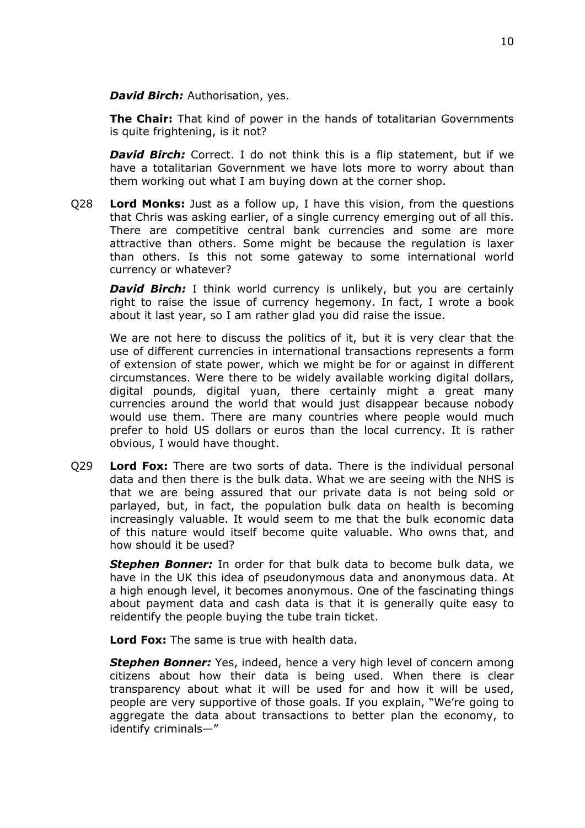*David Birch:* Authorisation, yes.

**The Chair:** That kind of power in the hands of totalitarian Governments is quite frightening, is it not?

*David Birch:* Correct. I do not think this is a flip statement, but if we have a totalitarian Government we have lots more to worry about than them working out what I am buying down at the corner shop.

Q28 **Lord Monks:** Just as a follow up, I have this vision, from the questions that Chris was asking earlier, of a single currency emerging out of all this. There are competitive central bank currencies and some are more attractive than others. Some might be because the regulation is laxer than others. Is this not some gateway to some international world currency or whatever?

*David Birch:* I think world currency is unlikely, but you are certainly right to raise the issue of currency hegemony. In fact, I wrote a book about it last year, so I am rather glad you did raise the issue.

We are not here to discuss the politics of it, but it is very clear that the use of different currencies in international transactions represents a form of extension of state power, which we might be for or against in different circumstances. Were there to be widely available working digital dollars, digital pounds, digital yuan, there certainly might a great many currencies around the world that would just disappear because nobody would use them. There are many countries where people would much prefer to hold US dollars or euros than the local currency. It is rather obvious, I would have thought.

Q29 **Lord Fox:** There are two sorts of data. There is the individual personal data and then there is the bulk data. What we are seeing with the NHS is that we are being assured that our private data is not being sold or parlayed, but, in fact, the population bulk data on health is becoming increasingly valuable. It would seem to me that the bulk economic data of this nature would itself become quite valuable. Who owns that, and how should it be used?

*Stephen Bonner:* In order for that bulk data to become bulk data, we have in the UK this idea of pseudonymous data and anonymous data. At a high enough level, it becomes anonymous. One of the fascinating things about payment data and cash data is that it is generally quite easy to reidentify the people buying the tube train ticket.

**Lord Fox:** The same is true with health data.

**Stephen Bonner:** Yes, indeed, hence a very high level of concern among citizens about how their data is being used. When there is clear transparency about what it will be used for and how it will be used, people are very supportive of those goals. If you explain, "We're going to aggregate the data about transactions to better plan the economy, to identify criminals—"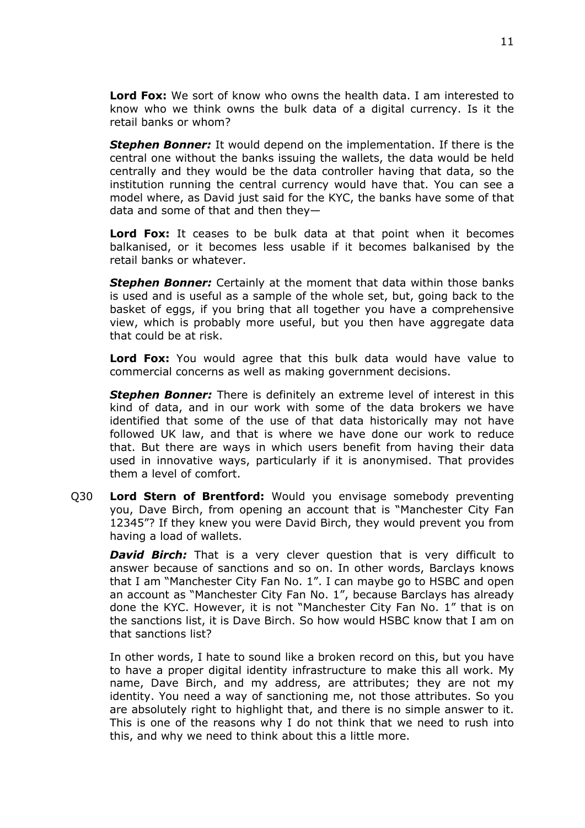**Lord Fox:** We sort of know who owns the health data. I am interested to know who we think owns the bulk data of a digital currency. Is it the retail banks or whom?

*Stephen Bonner:* It would depend on the implementation. If there is the central one without the banks issuing the wallets, the data would be held centrally and they would be the data controller having that data, so the institution running the central currency would have that. You can see a model where, as David just said for the KYC, the banks have some of that data and some of that and then they—

**Lord Fox:** It ceases to be bulk data at that point when it becomes balkanised, or it becomes less usable if it becomes balkanised by the retail banks or whatever.

*Stephen Bonner:* Certainly at the moment that data within those banks is used and is useful as a sample of the whole set, but, going back to the basket of eggs, if you bring that all together you have a comprehensive view, which is probably more useful, but you then have aggregate data that could be at risk.

**Lord Fox:** You would agree that this bulk data would have value to commercial concerns as well as making government decisions.

*Stephen Bonner:* There is definitely an extreme level of interest in this kind of data, and in our work with some of the data brokers we have identified that some of the use of that data historically may not have followed UK law, and that is where we have done our work to reduce that. But there are ways in which users benefit from having their data used in innovative ways, particularly if it is anonymised. That provides them a level of comfort.

Q30 **Lord Stern of Brentford:** Would you envisage somebody preventing you, Dave Birch, from opening an account that is "Manchester City Fan 12345"? If they knew you were David Birch, they would prevent you from having a load of wallets.

**David Birch:** That is a very clever question that is very difficult to answer because of sanctions and so on. In other words, Barclays knows that I am "Manchester City Fan No. 1". I can maybe go to HSBC and open an account as "Manchester City Fan No. 1", because Barclays has already done the KYC. However, it is not "Manchester City Fan No. 1" that is on the sanctions list, it is Dave Birch. So how would HSBC know that I am on that sanctions list?

In other words, I hate to sound like a broken record on this, but you have to have a proper digital identity infrastructure to make this all work. My name, Dave Birch, and my address, are attributes; they are not my identity. You need a way of sanctioning me, not those attributes. So you are absolutely right to highlight that, and there is no simple answer to it. This is one of the reasons why I do not think that we need to rush into this, and why we need to think about this a little more.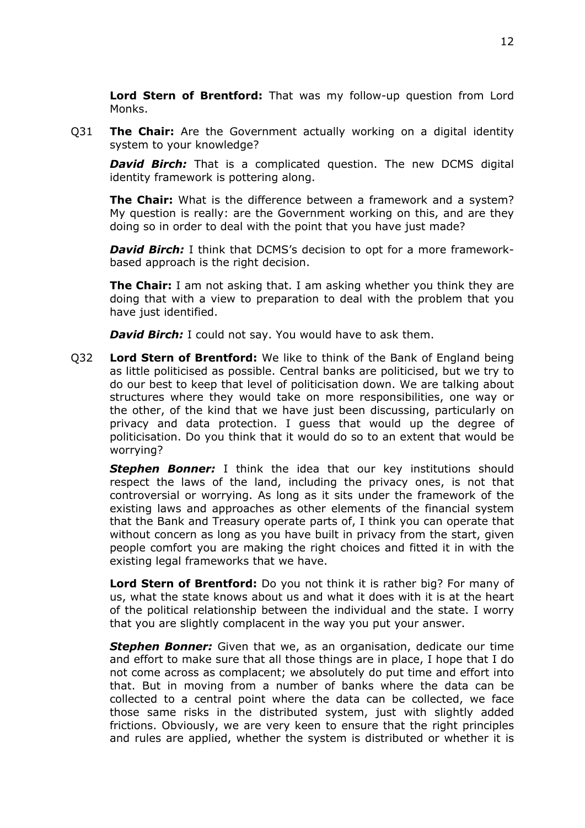**Lord Stern of Brentford:** That was my follow-up question from Lord Monks.

Q31 **The Chair:** Are the Government actually working on a digital identity system to your knowledge?

**David Birch:** That is a complicated question. The new DCMS digital identity framework is pottering along.

**The Chair:** What is the difference between a framework and a system? My question is really: are the Government working on this, and are they doing so in order to deal with the point that you have just made?

*David Birch:* I think that DCMS's decision to opt for a more frameworkbased approach is the right decision.

**The Chair:** I am not asking that. I am asking whether you think they are doing that with a view to preparation to deal with the problem that you have just identified.

*David Birch:* I could not say. You would have to ask them.

Q32 **Lord Stern of Brentford:** We like to think of the Bank of England being as little politicised as possible. Central banks are politicised, but we try to do our best to keep that level of politicisation down. We are talking about structures where they would take on more responsibilities, one way or the other, of the kind that we have just been discussing, particularly on privacy and data protection. I guess that would up the degree of politicisation. Do you think that it would do so to an extent that would be worrying?

*Stephen Bonner:* I think the idea that our key institutions should respect the laws of the land, including the privacy ones, is not that controversial or worrying. As long as it sits under the framework of the existing laws and approaches as other elements of the financial system that the Bank and Treasury operate parts of, I think you can operate that without concern as long as you have built in privacy from the start, given people comfort you are making the right choices and fitted it in with the existing legal frameworks that we have.

**Lord Stern of Brentford:** Do you not think it is rather big? For many of us, what the state knows about us and what it does with it is at the heart of the political relationship between the individual and the state. I worry that you are slightly complacent in the way you put your answer.

*Stephen Bonner:* Given that we, as an organisation, dedicate our time and effort to make sure that all those things are in place, I hope that I do not come across as complacent; we absolutely do put time and effort into that. But in moving from a number of banks where the data can be collected to a central point where the data can be collected, we face those same risks in the distributed system, just with slightly added frictions. Obviously, we are very keen to ensure that the right principles and rules are applied, whether the system is distributed or whether it is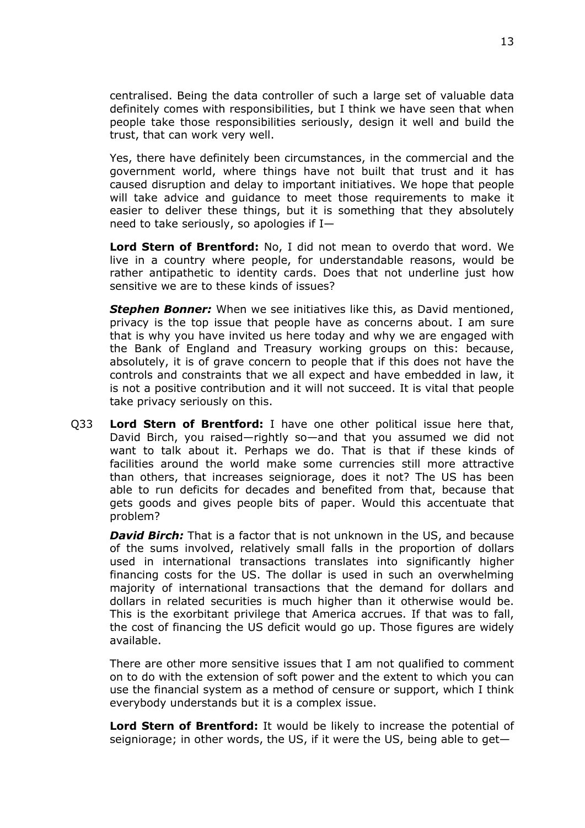centralised. Being the data controller of such a large set of valuable data definitely comes with responsibilities, but I think we have seen that when people take those responsibilities seriously, design it well and build the trust, that can work very well.

Yes, there have definitely been circumstances, in the commercial and the government world, where things have not built that trust and it has caused disruption and delay to important initiatives. We hope that people will take advice and guidance to meet those requirements to make it easier to deliver these things, but it is something that they absolutely need to take seriously, so apologies if I—

**Lord Stern of Brentford:** No, I did not mean to overdo that word. We live in a country where people, for understandable reasons, would be rather antipathetic to identity cards. Does that not underline just how sensitive we are to these kinds of issues?

*Stephen Bonner:* When we see initiatives like this, as David mentioned, privacy is the top issue that people have as concerns about. I am sure that is why you have invited us here today and why we are engaged with the Bank of England and Treasury working groups on this: because, absolutely, it is of grave concern to people that if this does not have the controls and constraints that we all expect and have embedded in law, it is not a positive contribution and it will not succeed. It is vital that people take privacy seriously on this.

Q33 **Lord Stern of Brentford:** I have one other political issue here that, David Birch, you raised—rightly so—and that you assumed we did not want to talk about it. Perhaps we do. That is that if these kinds of facilities around the world make some currencies still more attractive than others, that increases seigniorage, does it not? The US has been able to run deficits for decades and benefited from that, because that gets goods and gives people bits of paper. Would this accentuate that problem?

*David Birch:* That is a factor that is not unknown in the US, and because of the sums involved, relatively small falls in the proportion of dollars used in international transactions translates into significantly higher financing costs for the US. The dollar is used in such an overwhelming majority of international transactions that the demand for dollars and dollars in related securities is much higher than it otherwise would be. This is the exorbitant privilege that America accrues. If that was to fall, the cost of financing the US deficit would go up. Those figures are widely available.

There are other more sensitive issues that I am not qualified to comment on to do with the extension of soft power and the extent to which you can use the financial system as a method of censure or support, which I think everybody understands but it is a complex issue.

**Lord Stern of Brentford:** It would be likely to increase the potential of seigniorage; in other words, the US, if it were the US, being able to get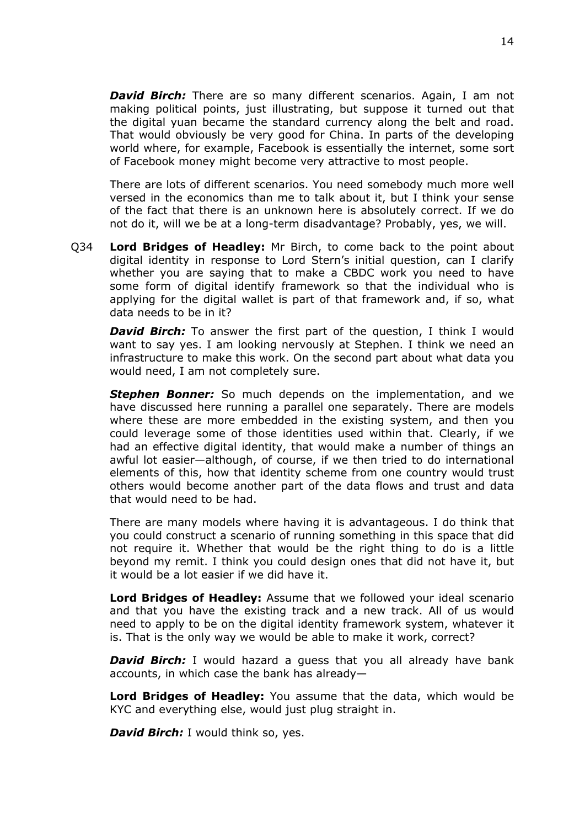*David Birch:* There are so many different scenarios. Again, I am not making political points, just illustrating, but suppose it turned out that the digital yuan became the standard currency along the belt and road. That would obviously be very good for China. In parts of the developing world where, for example, Facebook is essentially the internet, some sort of Facebook money might become very attractive to most people.

There are lots of different scenarios. You need somebody much more well versed in the economics than me to talk about it, but I think your sense of the fact that there is an unknown here is absolutely correct. If we do not do it, will we be at a long-term disadvantage? Probably, yes, we will.

Q34 **Lord Bridges of Headley:** Mr Birch, to come back to the point about digital identity in response to Lord Stern's initial question, can I clarify whether you are saying that to make a CBDC work you need to have some form of digital identify framework so that the individual who is applying for the digital wallet is part of that framework and, if so, what data needs to be in it?

*David Birch:* To answer the first part of the question, I think I would want to say yes. I am looking nervously at Stephen. I think we need an infrastructure to make this work. On the second part about what data you would need, I am not completely sure.

*Stephen Bonner:* So much depends on the implementation, and we have discussed here running a parallel one separately. There are models where these are more embedded in the existing system, and then you could leverage some of those identities used within that. Clearly, if we had an effective digital identity, that would make a number of things an awful lot easier—although, of course, if we then tried to do international elements of this, how that identity scheme from one country would trust others would become another part of the data flows and trust and data that would need to be had.

There are many models where having it is advantageous. I do think that you could construct a scenario of running something in this space that did not require it. Whether that would be the right thing to do is a little beyond my remit. I think you could design ones that did not have it, but it would be a lot easier if we did have it.

**Lord Bridges of Headley:** Assume that we followed your ideal scenario and that you have the existing track and a new track. All of us would need to apply to be on the digital identity framework system, whatever it is. That is the only way we would be able to make it work, correct?

**David Birch:** I would hazard a guess that you all already have bank accounts, in which case the bank has already—

**Lord Bridges of Headley:** You assume that the data, which would be KYC and everything else, would just plug straight in.

*David Birch:* I would think so, yes.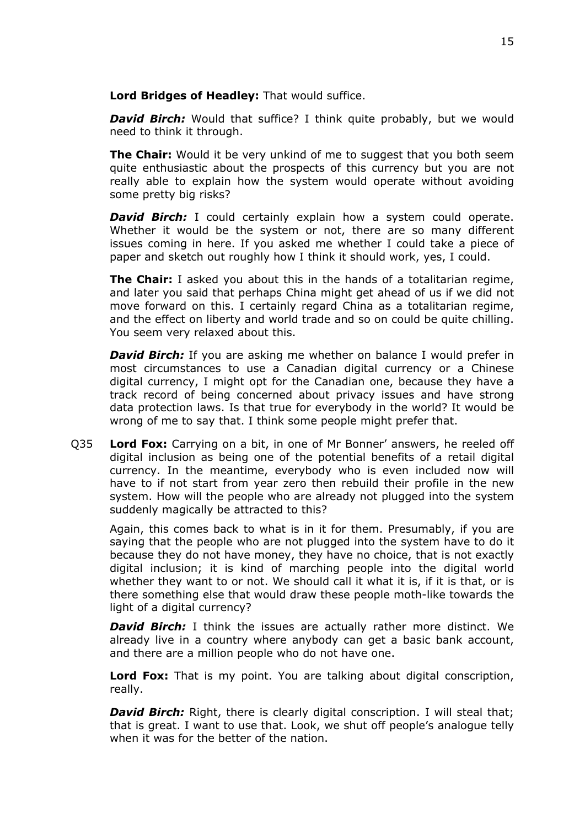**Lord Bridges of Headley:** That would suffice.

**David Birch:** Would that suffice? I think quite probably, but we would need to think it through.

**The Chair:** Would it be very unkind of me to suggest that you both seem quite enthusiastic about the prospects of this currency but you are not really able to explain how the system would operate without avoiding some pretty big risks?

*David Birch:* I could certainly explain how a system could operate. Whether it would be the system or not, there are so many different issues coming in here. If you asked me whether I could take a piece of paper and sketch out roughly how I think it should work, yes, I could.

**The Chair:** I asked you about this in the hands of a totalitarian regime, and later you said that perhaps China might get ahead of us if we did not move forward on this. I certainly regard China as a totalitarian regime, and the effect on liberty and world trade and so on could be quite chilling. You seem very relaxed about this.

*David Birch:* If you are asking me whether on balance I would prefer in most circumstances to use a Canadian digital currency or a Chinese digital currency, I might opt for the Canadian one, because they have a track record of being concerned about privacy issues and have strong data protection laws. Is that true for everybody in the world? It would be wrong of me to say that. I think some people might prefer that.

Q35 **Lord Fox:** Carrying on a bit, in one of Mr Bonner' answers, he reeled off digital inclusion as being one of the potential benefits of a retail digital currency. In the meantime, everybody who is even included now will have to if not start from year zero then rebuild their profile in the new system. How will the people who are already not plugged into the system suddenly magically be attracted to this?

Again, this comes back to what is in it for them. Presumably, if you are saying that the people who are not plugged into the system have to do it because they do not have money, they have no choice, that is not exactly digital inclusion; it is kind of marching people into the digital world whether they want to or not. We should call it what it is, if it is that, or is there something else that would draw these people moth-like towards the light of a digital currency?

*David Birch:* I think the issues are actually rather more distinct. We already live in a country where anybody can get a basic bank account, and there are a million people who do not have one.

**Lord Fox:** That is my point. You are talking about digital conscription, really.

*David Birch:* Right, there is clearly digital conscription. I will steal that; that is great. I want to use that. Look, we shut off people's analogue telly when it was for the better of the nation.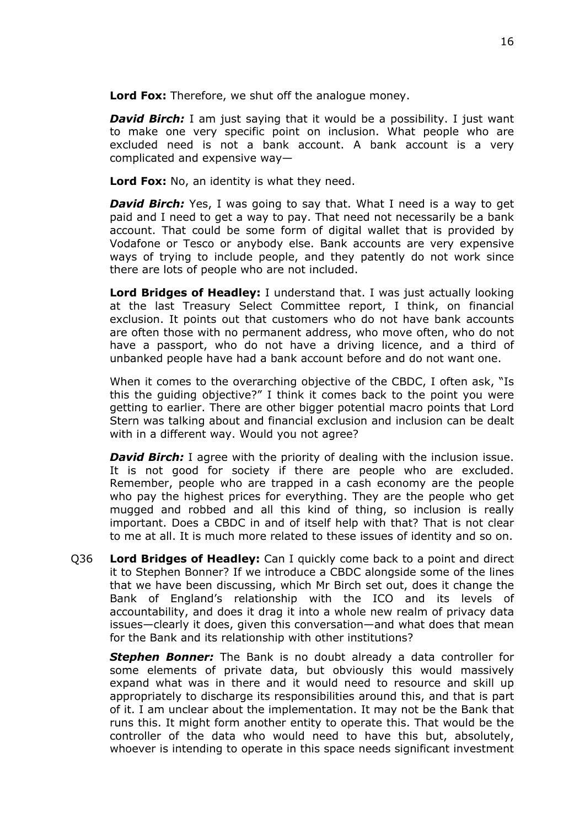**Lord Fox:** Therefore, we shut off the analogue money.

*David Birch:* I am just saying that it would be a possibility. I just want to make one very specific point on inclusion. What people who are excluded need is not a bank account. A bank account is a very complicated and expensive way—

**Lord Fox:** No, an identity is what they need.

**David Birch:** Yes, I was going to say that. What I need is a way to get paid and I need to get a way to pay. That need not necessarily be a bank account. That could be some form of digital wallet that is provided by Vodafone or Tesco or anybody else. Bank accounts are very expensive ways of trying to include people, and they patently do not work since there are lots of people who are not included.

**Lord Bridges of Headley:** I understand that. I was just actually looking at the last Treasury Select Committee report, I think, on financial exclusion. It points out that customers who do not have bank accounts are often those with no permanent address, who move often, who do not have a passport, who do not have a driving licence, and a third of unbanked people have had a bank account before and do not want one.

When it comes to the overarching objective of the CBDC, I often ask, "Is this the guiding objective?" I think it comes back to the point you were getting to earlier. There are other bigger potential macro points that Lord Stern was talking about and financial exclusion and inclusion can be dealt with in a different way. Would you not agree?

*David Birch:* I agree with the priority of dealing with the inclusion issue. It is not good for society if there are people who are excluded. Remember, people who are trapped in a cash economy are the people who pay the highest prices for everything. They are the people who get mugged and robbed and all this kind of thing, so inclusion is really important. Does a CBDC in and of itself help with that? That is not clear to me at all. It is much more related to these issues of identity and so on.

Q36 **Lord Bridges of Headley:** Can I quickly come back to a point and direct it to Stephen Bonner? If we introduce a CBDC alongside some of the lines that we have been discussing, which Mr Birch set out, does it change the Bank of England's relationship with the ICO and its levels of accountability, and does it drag it into a whole new realm of privacy data issues—clearly it does, given this conversation—and what does that mean for the Bank and its relationship with other institutions?

*Stephen Bonner:* The Bank is no doubt already a data controller for some elements of private data, but obviously this would massively expand what was in there and it would need to resource and skill up appropriately to discharge its responsibilities around this, and that is part of it. I am unclear about the implementation. It may not be the Bank that runs this. It might form another entity to operate this. That would be the controller of the data who would need to have this but, absolutely, whoever is intending to operate in this space needs significant investment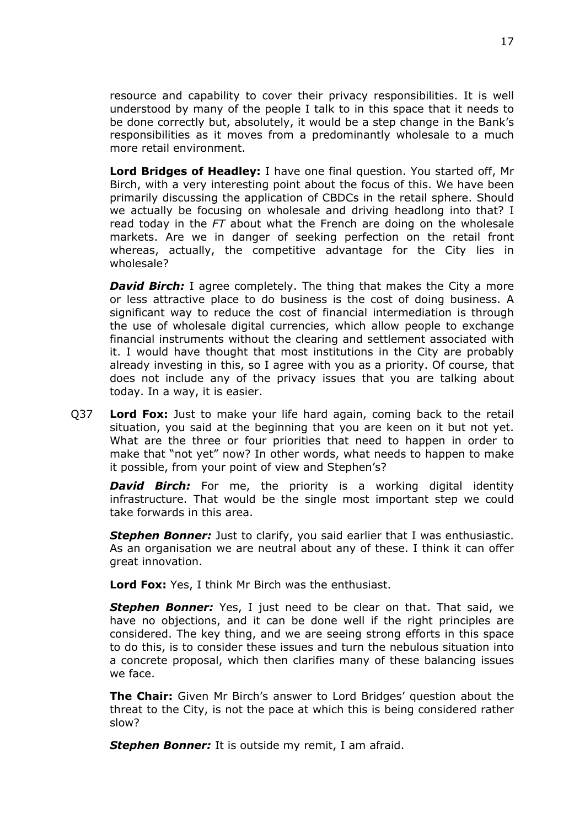resource and capability to cover their privacy responsibilities. It is well understood by many of the people I talk to in this space that it needs to be done correctly but, absolutely, it would be a step change in the Bank's responsibilities as it moves from a predominantly wholesale to a much more retail environment.

**Lord Bridges of Headley:** I have one final question. You started off, Mr Birch, with a very interesting point about the focus of this. We have been primarily discussing the application of CBDCs in the retail sphere. Should we actually be focusing on wholesale and driving headlong into that? I read today in the *FT* about what the French are doing on the wholesale markets. Are we in danger of seeking perfection on the retail front whereas, actually, the competitive advantage for the City lies in wholesale?

*David Birch:* I agree completely. The thing that makes the City a more or less attractive place to do business is the cost of doing business. A significant way to reduce the cost of financial intermediation is through the use of wholesale digital currencies, which allow people to exchange financial instruments without the clearing and settlement associated with it. I would have thought that most institutions in the City are probably already investing in this, so I agree with you as a priority. Of course, that does not include any of the privacy issues that you are talking about today. In a way, it is easier.

Q37 **Lord Fox:** Just to make your life hard again, coming back to the retail situation, you said at the beginning that you are keen on it but not yet. What are the three or four priorities that need to happen in order to make that "not yet" now? In other words, what needs to happen to make it possible, from your point of view and Stephen's?

**David Birch:** For me, the priority is a working digital identity infrastructure. That would be the single most important step we could take forwards in this area.

**Stephen Bonner:** Just to clarify, you said earlier that I was enthusiastic. As an organisation we are neutral about any of these. I think it can offer great innovation.

**Lord Fox:** Yes, I think Mr Birch was the enthusiast.

**Stephen Bonner:** Yes, I just need to be clear on that. That said, we have no objections, and it can be done well if the right principles are considered. The key thing, and we are seeing strong efforts in this space to do this, is to consider these issues and turn the nebulous situation into a concrete proposal, which then clarifies many of these balancing issues we face.

**The Chair:** Given Mr Birch's answer to Lord Bridges' question about the threat to the City, is not the pace at which this is being considered rather slow?

*Stephen Bonner:* It is outside my remit, I am afraid.